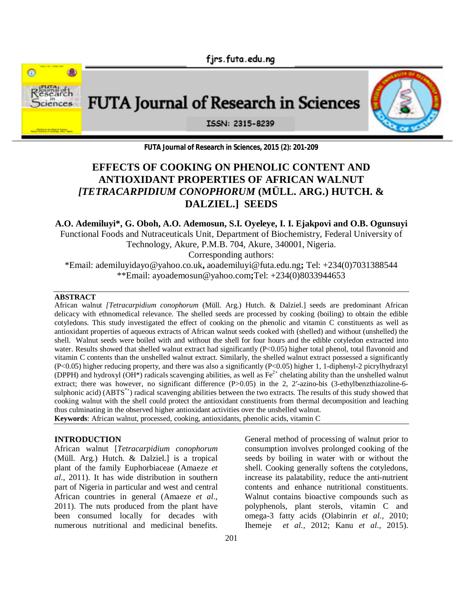



**FUTA Journal of Research in Sciences, 2015 (2): 201-209**

# **EFFECTS OF COOKING ON PHENOLIC CONTENT AND ANTIOXIDANT PROPERTIES OF AFRICAN WALNUT**  *[TETRACARPIDIUM CONOPHORUM* **(MÜLL. ARG.) HUTCH. & DALZIEL.] SEEDS**

**A.O. Ademiluyi\*, G. Oboh, A.O. Ademosun, S.I. Oyeleye, I. I. Ejakpovi and O.B. Ogunsuyi**  Functional Foods and Nutraceuticals Unit, Department of Biochemistry, Federal University of

Technology, Akure, P.M.B. 704, Akure, 340001, Nigeria.

Corresponding authors:

\*Email: ademiluyidayo@yahoo.co.uk**,** aoademiluyi@futa.edu.ng**;** Tel: +234(0)7031388544 \*\*Email: ayoademosun@yahoo.com**;**Tel: +234(0)8033944653

#### **ABSTRACT**

African walnut *[Tetracarpidium conophorum* (Müll. Arg.) Hutch. & Dalziel.] seeds are predominant African delicacy with ethnomedical relevance. The shelled seeds are processed by cooking (boiling) to obtain the edible cotyledons. This study investigated the effect of cooking on the phenolic and vitamin C constituents as well as antioxidant properties of aqueous extracts of African walnut seeds cooked with (shelled) and without (unshelled) the shell. Walnut seeds were boiled with and without the shell for four hours and the edible cotyledon extracted into water. Results showed that shelled walnut extract had significantly (P<0.05) higher total phenol, total flavonoid and vitamin C contents than the unshelled walnut extract. Similarly, the shelled walnut extract possessed a significantly (P<0.05) higher reducing property, and there was also a significantly (P<0.05) higher 1, 1-diphenyl-2 picrylhydrazyl (DPPH) and hydroxyl  $(OH^*)$  radicals scavenging abilities, as well as  $Fe^{2+}$  chelating ability than the unshelled walnut extract; there was however, no significant difference (P>0.05) in the 2, 2′-azino-bis (3-ethylbenzthiazoline-6sulphonic acid) (ABTS<sup>\*+</sup>) radical scavenging abilities between the two extracts. The results of this study showed that cooking walnut with the shell could protect the antioxidant constituents from thermal decomposition and leaching thus culminating in the observed higher antioxidant activities over the unshelled walnut. **Keywords**: African walnut, processed, cooking, antioxidants, phenolic acids, vitamin C

**INTRODUCTION**

African walnut [*Tetracarpidium conophorum*  (Müll. Arg.) Hutch. & Dalziel.] is a tropical plant of the family Euphorbiaceae (Amaeze *et al*., 2011). It has wide distribution in southern part of Nigeria in particular and west and central African countries in general (Amaeze *et al*., 2011). The nuts produced from the plant have been consumed locally for decades with numerous nutritional and medicinal benefits.

General method of processing of walnut prior to consumption involves prolonged cooking of the seeds by boiling in water with or without the shell. Cooking generally softens the cotyledons, increase its palatability, reduce the anti-nutrient contents and enhance nutritional constituents. Walnut contains bioactive compounds such as polyphenols, plant sterols, vitamin C and omega-3 fatty acids (Olabinrin *et al.,* 2010; Ihemeje *et al.,* 2012; Kanu *et al.,* 2015).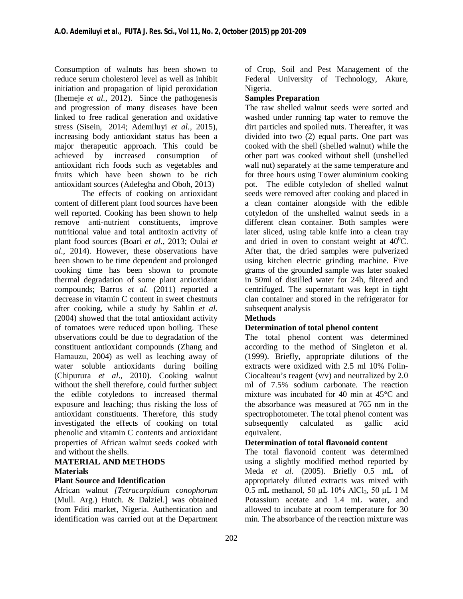Consumption of walnuts has been shown to reduce serum cholesterol level as well as inhibit initiation and propagation of lipid peroxidation (Ihemeje *et al.,* 2012). Since the pathogenesis and progression of many diseases have been linked to free radical generation and oxidative stress (Sisein, 2014; Ademiluyi *et al.,* 2015), increasing body antioxidant status has been a major therapeutic approach. This could be achieved by increased consumption of antioxidant rich foods such as vegetables and fruits which have been shown to be rich antioxidant sources (Adefegha and Oboh, 2013)

The effects of cooking on antioxidant content of different plant food sources have been well reported. Cooking has been shown to help remove anti-nutrient constituents, improve nutritional value and total antitoxin activity of plant food sources (Boari *et al*., 2013; Oulai *et al*., 2014). However, these observations have been shown to be time dependent and prolonged cooking time has been shown to promote thermal degradation of some plant antioxidant compounds; Barros *et al.* (2011) reported a decrease in vitamin C content in sweet chestnuts after cooking, while a study by Sahlin *et al.* (2004) showed that the total antioxidant activity of tomatoes were reduced upon boiling. These observations could be due to degradation of the constituent antioxidant compounds (Zhang and Hamauzu, 2004) as well as leaching away of water soluble antioxidants during boiling (Chipurura *et al*., 2010). Cooking walnut without the shell therefore, could further subject the edible cotyledons to increased thermal exposure and leaching; thus risking the loss of antioxidant constituents. Therefore, this study investigated the effects of cooking on total phenolic and vitamin C contents and antioxidant properties of African walnut seeds cooked with and without the shells.

## **MATERIAL AND METHODS Materials**

### **Plant Source and Identification**

African walnut *[Tetracarpidium conophorum*  (Mull. Arg.) Hutch. & Dalziel.] was obtained from Fditi market, Nigeria. Authentication and identification was carried out at the Department

of Crop, Soil and Pest Management of the Federal University of Technology, Akure, Nigeria.

#### **Samples Preparation**

The raw shelled walnut seeds were sorted and washed under running tap water to remove the dirt particles and spoiled nuts. Thereafter, it was divided into two (2) equal parts. One part was cooked with the shell (shelled walnut) while the other part was cooked without shell (unshelled wall nut) separately at the same temperature and for three hours using Tower aluminium cooking pot. The edible cotyledon of shelled walnut seeds were removed after cooking and placed in a clean container alongside with the edible cotyledon of the unshelled walnut seeds in a different clean container. Both samples were later sliced, using table knife into a clean tray and dried in oven to constant weight at  $40^{\circ}$ C. After that, the dried samples were pulverized using kitchen electric grinding machine. Five grams of the grounded sample was later soaked in 50ml of distilled water for 24h, filtered and centrifuged. The supernatant was kept in tight clan container and stored in the refrigerator for subsequent analysis

#### **Methods**

### **Determination of total phenol content**

The total phenol content was determined according to the method of Singleton et al. (1999). Briefly, appropriate dilutions of the extracts were oxidized with 2.5 ml 10% Folin-Ciocalteau's reagent  $(v/v)$  and neutralized by 2.0 ml of 7.5% sodium carbonate. The reaction mixture was incubated for 40 min at 45°C and the absorbance was measured at 765 nm in the spectrophotometer. The total phenol content was subsequently calculated as gallic acid equivalent.

### **Determination of total flavonoid content**

The total flavonoid content was determined using a slightly modified method reported by Meda *et al*. (2005). Briefly 0.5 mL of appropriately diluted extracts was mixed with 0.5 mL methanol, 50 μL  $10\%$  AlCl<sub>3</sub>, 50 μL 1 M Potassium acetate and 1.4 mL water, and allowed to incubate at room temperature for 30 min. The absorbance of the reaction mixture was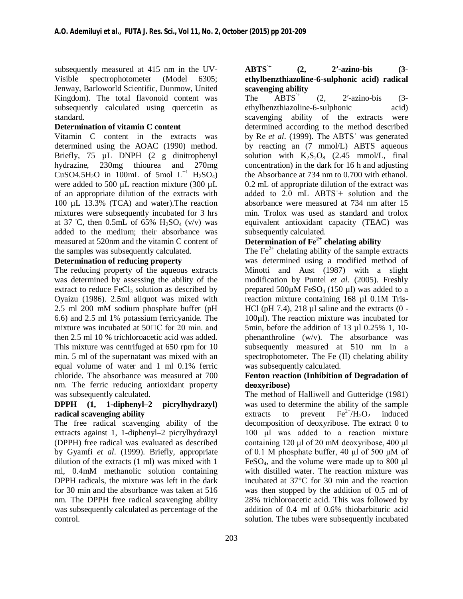subsequently measured at 415 nm in the UV-Visible spectrophotometer (Model 6305; Jenway, Barloworld Scientific, Dunmow, United Kingdom). The total flavonoid content was subsequently calculated using quercetin as standard.

### **Determination of vitamin C content**

Vitamin C content in the extracts was determined using the AOAC (1990) method. Briefly, 75 µL DNPH (2 g dinitrophenyl hydrazine, 230mg thiourea and 270mg CuSO4.5H<sub>2</sub>O in 100mL of 5mol  $L^{-1}$  H<sub>2</sub>SO<sub>4</sub>) were added to 500  $\mu$ L reaction mixture (300  $\mu$ L) of an appropriate dilution of the extracts with 100 µL 13.3% (TCA) and water).The reaction mixtures were subsequently incubated for 3 hrs at 37 °C, then 0.5mL of 65%  $H_2SO_4$  (v/v) was added to the medium; their absorbance was measured at 520nm and the vitamin C content of the samples was subsequently calculated.

### **Determination of reducing property**

The reducing property of the aqueous extracts was determined by assessing the ability of the extract to reduce  $FeCl<sub>3</sub>$  solution as described by Oyaizu (1986). 2.5ml aliquot was mixed with 2.5 ml 200 mM sodium phosphate buffer (pH 6.6) and 2.5 ml 1% potassium ferricyanide. The mixture was incubated at  $50\degree\text{C}$  for 20 min. and then 2.5 ml 10 % trichloroacetic acid was added. This mixture was centrifuged at 650 rpm for 10 min. 5 ml of the supernatant was mixed with an equal volume of water and 1 ml 0.1% ferric chloride. The absorbance was measured at 700 nm. The ferric reducing antioxidant property was subsequently calculated.

### **DPPH (1, 1-diphenyl–2 picrylhydrazyl) radical scavenging ability**

The free radical scavenging ability of the extracts against 1, 1-diphenyl–2 picrylhydrazyl (DPPH) free radical was evaluated as described by Gyamfi *et al*. (1999). Briefly, appropriate dilution of the extracts (1 ml) was mixed with 1 ml, 0.4mM methanolic solution containing DPPH radicals, the mixture was left in the dark for 30 min and the absorbance was taken at 516 nm. The DPPH free radical scavenging ability was subsequently calculated as percentage of the control.

### **ABTS˙+ (2, 2′-azino-bis (3 ethylbenzthiazoline-6-sulphonic acid) radical scavenging ability**

The  $ABTS^+$  (2, 2'-azino-bis (3ethylbenzthiazoline-6-sulphonic acid) scavenging ability of the extracts were determined according to the method described by Re *et al*. (1999). The ABTS˙ was generated by reacting an (7 mmol/L) ABTS aqueous solution with  $K_2S_2O_8$  (2.45 mmol/L, final concentration) in the dark for 16 h and adjusting the Absorbance at 734 nm to 0.700 with ethanol. 0.2 mL of appropriate dilution of the extract was added to  $2.0$  mL  $ABTS +$  solution and the absorbance were measured at 734 nm after 15 min. Trolox was used as standard and trolox equivalent antioxidant capacity (TEAC) was subsequently calculated.

# **Determination of Fe2+ chelating ability**

The  $Fe<sup>2+</sup>$  chelating ability of the sample extracts was determined using a modified method of Minotti and Aust (1987) with a slight modification by Puntel *et al.* (2005). Freshly prepared  $500\mu$ M FeSO<sub>4</sub> (150  $\mu$ I) was added to a reaction mixture containing 168 µl 0.1M Tris-HCl (pH 7.4), 218  $\mu$ l saline and the extracts (0 -100µl). The reaction mixture was incubated for 5min, before the addition of 13 µl 0.25% 1, 10 phenanthroline (w/v). The absorbance was subsequently measured at 510 nm in a spectrophotometer. The Fe (II) chelating ability was subsequently calculated.

#### **Fenton reaction (Inhibition of Degradation of deoxyribose)**

The method of Halliwell and Gutteridge (1981) was used to determine the ability of the sample extracts to prevent  $\text{Fe}^{2+}/\text{H}_2\text{O}_2$  induced decomposition of deoxyribose. The extract 0 to 100 μl was added to a reaction mixture containing 120 μl of 20 mM deoxyribose, 400 μl of 0.1 M phosphate buffer, 40 μl of 500 μM of  $FeSO<sub>4</sub>$ , and the volume were made up to 800  $\mu$ l with distilled water. The reaction mixture was incubated at 37°C for 30 min and the reaction was then stopped by the addition of 0.5 ml of 28% trichloroacetic acid. This was followed by addition of 0.4 ml of 0.6% thiobarbituric acid solution. The tubes were subsequently incubated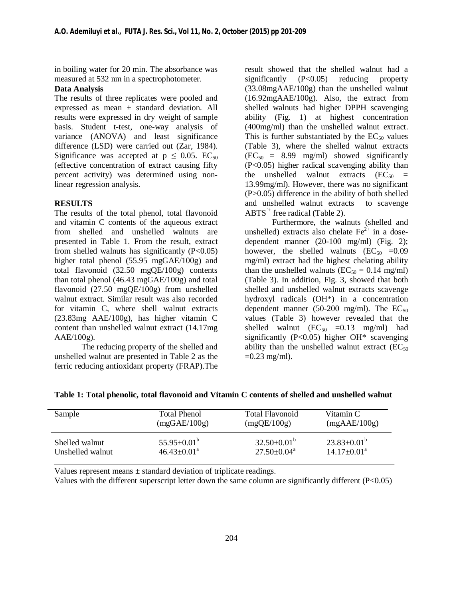in boiling water for 20 min. The absorbance was measured at 532 nm in a spectrophotometer.

#### **Data Analysis**

The results of three replicates were pooled and expressed as mean ± standard deviation. All results were expressed in dry weight of sample basis. Student t-test, one-way analysis of variance (ANOVA) and least significance difference (LSD) were carried out (Zar, 1984). Significance was accepted at  $p \leq 0.05$ . EC<sub>50</sub> (effective concentration of extract causing fifty percent activity) was determined using nonlinear regression analysis.

#### **RESULTS**

The results of the total phenol, total flavonoid and vitamin C contents of the aqueous extract from shelled and unshelled walnuts are presented in Table 1. From the result, extract from shelled walnuts has significantly  $(P<0.05)$ higher total phenol (55.95 mgGAE/100g) and total flavonoid (32.50 mgQE/100g) contents than total phenol (46.43 mgGAE/100g) and total flavonoid (27.50 mgQE/100g) from unshelled walnut extract. Similar result was also recorded for vitamin C, where shell walnut extracts (23.83mg AAE/100g), has higher vitamin C content than unshelled walnut extract (14.17mg  $AAE/100g$ ).

The reducing property of the shelled and unshelled walnut are presented in Table 2 as the ferric reducing antioxidant property (FRAP).The

result showed that the shelled walnut had a significantly  $(P<0.05)$  reducing property (33.08mgAAE/100g) than the unshelled walnut (16.92mgAAE/100g). Also, the extract from shelled walnuts had higher DPPH scavenging ability (Fig. 1) at highest concentration (400mg/ml) than the unshelled walnut extract. This is further substantiated by the  $EC_{50}$  values (Table 3), where the shelled walnut extracts  $(EC_{50} = 8.99 \text{ mg/ml})$  showed significantly (P<0.05) higher radical scavenging ability than the unshelled walnut extracts  $(EC_{50}$  = 13.99mg/ml). However, there was no significant (P>0.05) difference in the ability of both shelled and unshelled walnut extracts to scavenge  $ABTS^+$  free radical (Table 2).

Furthermore, the walnuts (shelled and unshelled) extracts also chelate  $Fe^{2+}$  in a dosedependent manner (20-100 mg/ml) (Fig. 2); however, the shelled walnuts  $(EC_{50} = 0.09)$ mg/ml) extract had the highest chelating ability than the unshelled walnuts ( $EC_{50} = 0.14$  mg/ml) (Table 3). In addition, Fig. 3, showed that both shelled and unshelled walnut extracts scavenge hydroxyl radicals (OH\*) in a concentration dependent manner (50-200 mg/ml). The  $EC_{50}$ values (Table 3) however revealed that the shelled walnut  $(EC_{50} = 0.13$  mg/ml) had significantly (P<0.05) higher  $OH^*$  scavenging ability than the unshelled walnut extract  $(EC_{50})$  $=0.23$  mg/ml).

| Sample           | <b>Total Phenol</b>         | Total Flavonoid        | Vitamin C                |
|------------------|-----------------------------|------------------------|--------------------------|
|                  | (mgGAE/100g)                | (mgQE/100g)            | (mgAAE/100g)             |
| Shelled walnut   | $55.95 \pm 0.01^{\circ}$    | $32.50\pm0.01^{\circ}$ | $23.83 \pm 0.01^{\circ}$ |
| Unshelled walnut | $46.43 \pm 0.01^{\text{a}}$ | $27.50 + 0.04^a$       | $14.17 \pm 0.01^{\circ}$ |

**Table 1: Total phenolic, total flavonoid and Vitamin C contents of shelled and unshelled walnut**

Values represent means  $\pm$  standard deviation of triplicate readings.

Values with the different superscript letter down the same column are significantly different (P<0.05)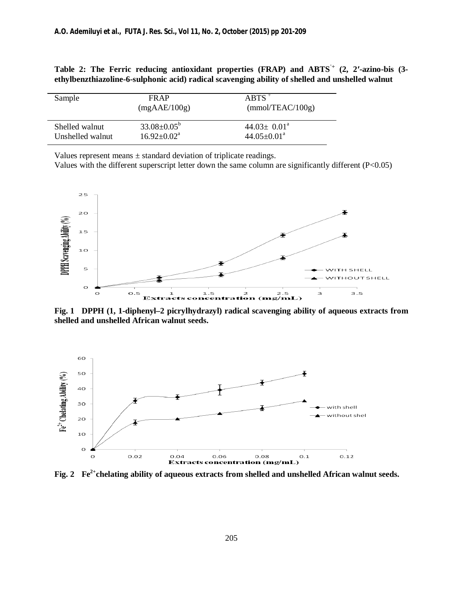| Sample           | FR AP<br>(mgAAE/100g)    | $ARTS^+$<br>(mmol/TEAC/100g) |
|------------------|--------------------------|------------------------------|
| Shelled walnut   | $33.08 \pm 0.05^{\circ}$ | $44.03 \pm 0.01^{\circ}$     |
| Unshelled walnut | $16.92 + 0.02^a$         | $44.05 \pm 0.01^{\text{a}}$  |

**Table 2: The Ferric reducing antioxidant properties (FRAP) and ABTS˙+ (2, 2′-azino-bis (3 ethylbenzthiazoline-6-sulphonic acid) radical scavenging ability of shelled and unshelled walnut**

Values represent means  $\pm$  standard deviation of triplicate readings.

Values with the different superscript letter down the same column are significantly different (P<0.05)



**Fig. 1 DPPH (1, 1-diphenyl–2 picrylhydrazyl) radical scavenging ability of aqueous extracts from shelled and unshelled African walnut seeds.**



**Fig. 2 Fe2+chelating ability of aqueous extracts from shelled and unshelled African walnut seeds.**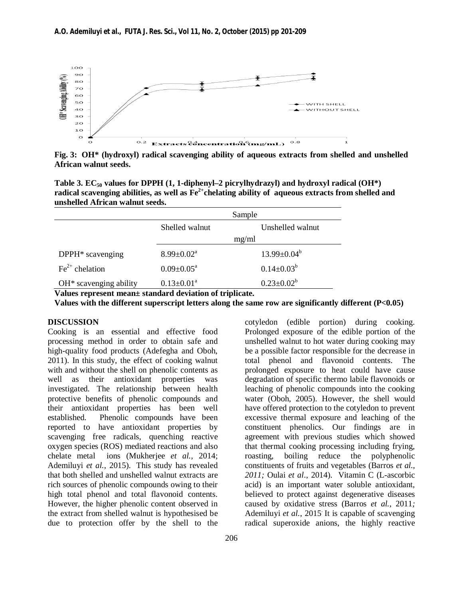

**Fig. 3: OH\* (hydroxyl) radical scavenging ability of aqueous extracts from shelled and unshelled African walnut seeds.**

**Table 3. EC50 values for DPPH (1, 1-diphenyl–2 picrylhydrazyl) and hydroxyl radical (OH\*) radical scavenging abilities, as well as Fe2+chelating ability of aqueous extracts from shelled and unshelled African walnut seeds.**

|                                    | Sample                     |                    |  |
|------------------------------------|----------------------------|--------------------|--|
|                                    | Shelled walnut             | Unshelled walnut   |  |
|                                    | mg/ml                      |                    |  |
| DPPH* scavenging                   | $8.99 \pm 0.02^{\text{a}}$ | $13.99 \pm 0.04^b$ |  |
| $\text{Fe}^{2+}$ chelation         | $0.09 \pm 0.05^{\text{a}}$ | $0.14 \pm 0.03^b$  |  |
| OH <sup>*</sup> scavenging ability | $0.13 \pm 0.01^a$          | $0.23 \pm 0.02^b$  |  |

**Values represent mean± standard deviation of triplicate.**

**Values with the different superscript letters along the same row are significantly different (P<0.05)**

#### **DISCUSSION**

Cooking is an essential and effective food processing method in order to obtain safe and high-quality food products (Adefegha and Oboh, 2011). In this study, the effect of cooking walnut with and without the shell on phenolic contents as well as their antioxidant properties was investigated. The relationship between health protective benefits of phenolic compounds and their antioxidant properties has been well established. Phenolic compounds have been reported to have antioxidant properties by scavenging free radicals, quenching reactive oxygen species (ROS) mediated reactions and also chelate metal ions (Mukherjee *et al.,* 2014; Ademiluyi *et al.,* 2015). This study has revealed that both shelled and unshelled walnut extracts are rich sources of phenolic compounds owing to their high total phenol and total flavonoid contents. However, the higher phenolic content observed in the extract from shelled walnut is hypothesised be due to protection offer by the shell to the

Prolonged exposure of the edible portion of the unshelled walnut to hot water during cooking may be a possible factor responsible for the decrease in total phenol and flavonoid contents. The prolonged exposure to heat could have cause degradation of specific thermo labile flavonoids or leaching of phenolic compounds into the cooking water (Oboh, 2005). However, the shell would have offered protection to the cotyledon to prevent excessive thermal exposure and leaching of the constituent phenolics. Our findings are in agreement with previous studies which showed that thermal cooking processing including frying, roasting, boiling reduce the polyphenolic constituents of fruits and vegetables (Barros *et al., 2011;* Oulai *et al*., 2014). Vitamin C (L-ascorbic acid) is an important water soluble antioxidant, believed to protect against degenerative diseases caused by oxidative stress (Barros *et al.,* 2011*;* Ademiluyi *et al.,* 2015. It is capable of scavenging radical superoxide anions, the highly reactive

cotyledon (edible portion) during cooking.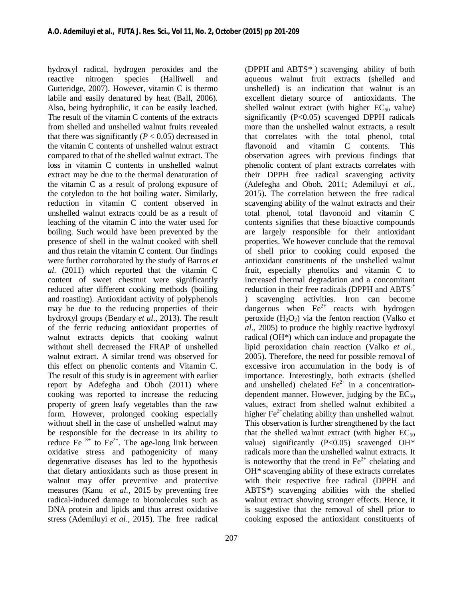hydroxyl radical, hydrogen peroxides and the reactive nitrogen species (Halliwell and Gutteridge, 2007). However, vitamin C is thermo labile and easily denatured by heat (Ball, 2006). Also, being hydrophilic, it can be easily leached. The result of the vitamin C contents of the extracts from shelled and unshelled walnut fruits revealed that there was significantly  $(P < 0.05)$  decreased in the vitamin C contents of unshelled walnut extract compared to that of the shelled walnut extract. The loss in vitamin C contents in unshelled walnut extract may be due to the thermal denaturation of the vitamin C as a result of prolong exposure of the cotyledon to the hot boiling water. Similarly, reduction in vitamin C content observed in unshelled walnut extracts could be as a result of leaching of the vitamin C into the water used for boiling. Such would have been prevented by the presence of shell in the walnut cooked with shell and thus retain the vitamin C content. Our findings were further corroborated by the study of Barros *et al.* (2011) which reported that the vitamin C content of sweet chestnut were significantly reduced after different cooking methods (boiling and roasting). Antioxidant activity of polyphenols may be due to the reducing properties of their hydroxyl groups (Bendary *et al*., 2013). The result of the ferric reducing antioxidant properties of walnut extracts depicts that cooking walnut without shell decreased the FRAP of unshelled walnut extract. A similar trend was observed for this effect on phenolic contents and Vitamin C. The result of this study is in agreement with earlier report by Adefegha and Oboh (2011) where cooking was reported to increase the reducing property of green leafy vegetables than the raw form. However, prolonged cooking especially without shell in the case of unshelled walnut may be responsible for the decrease in its ability to reduce Fe  $3+$  to Fe<sup>2+</sup>. The age-long link between oxidative stress and pathogenicity of many degenerative diseases has led to the hypothesis that dietary antioxidants such as those present in walnut may offer preventive and protective measures (Kanu *et al.,* 2015 by preventing free radical-induced damage to biomolecules such as DNA protein and lipids and thus arrest oxidative stress (Ademiluyi *et al*., 2015). The free radical

(DPPH and ABTS\* ) scavenging ability of both aqueous walnut fruit extracts (shelled and unshelled) is an indication that walnut is an excellent dietary source of antioxidants. The shelled walnut extract (with higher  $EC_{50}$  value) significantly  $(P<0.05)$  scavenged DPPH radicals more than the unshelled walnut extracts, a result that correlates with the total phenol, total flavonoid and vitamin C contents. This observation agrees with previous findings that phenolic content of plant extracts correlates with their DPPH free radical scavenging activity (Adefegha and Oboh, 2011; Ademiluyi *et al.,* 2015). The correlation between the free radical scavenging ability of the walnut extracts and their total phenol, total flavonoid and vitamin C contents signifies that these bioactive compounds are largely responsible for their antioxidant properties. We however conclude that the removal of shell prior to cooking could exposed the antioxidant constituents of the unshelled walnut fruit, especially phenolics and vitamin C to increased thermal degradation and a concomitant reduction in their free radicals (DPPH and ABTS<sup>\*</sup> ) scavenging activities. Iron can become dangerous when  $Fe^{2+}$  reacts with hydrogen peroxide  $(H_2O_2)$  via the fenton reaction (Valko *et*) *al*., 2005) to produce the highly reactive hydroxyl radical (OH\*) which can induce and propagate the lipid peroxidation chain reaction (Valko *et al*., 2005). Therefore, the need for possible removal of excessive iron accumulation in the body is of importance. Interestingly, both extracts (shelled and unshelled) chelated  $Fe<sup>2+</sup>$  in a concentrationdependent manner. However, judging by the  $EC_{50}$ values, extract from shelled walnut exhibited a higher  $Fe^{2+}$ chelating ability than unshelled walnut. This observation is further strengthened by the fact that the shelled walnut extract (with higher  $EC_{50}$ value) significantly  $(P<0.05)$  scavenged OH\* radicals more than the unshelled walnut extracts. It is noteworthy that the trend in  $Fe<sup>2+</sup>$  chelating and OH\* scavenging ability of these extracts correlates with their respective free radical (DPPH and ABTS\*) scavenging abilities with the shelled walnut extract showing stronger effects. Hence, it is suggestive that the removal of shell prior to cooking exposed the antioxidant constituents of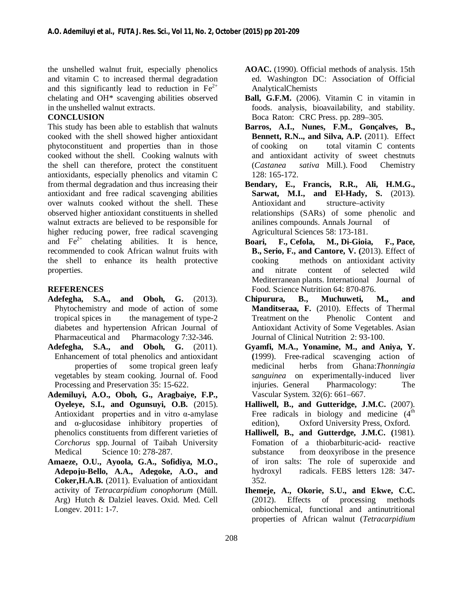the unshelled walnut fruit, especially phenolics and vitamin C to increased thermal degradation and this significantly lead to reduction in  $Fe^{2+}$ chelating and OH\* scavenging abilities observed in the unshelled walnut extracts.

#### **CONCLUSION**

This study has been able to establish that walnuts cooked with the shell showed higher antioxidant phytoconstituent and properties than in those cooked without the shell. Cooking walnuts with the shell can therefore, protect the constituent antioxidants, especially phenolics and vitamin C from thermal degradation and thus increasing their antioxidant and free radical scavenging abilities over walnuts cooked without the shell. These observed higher antioxidant constituents in shelled walnut extracts are believed to be responsible for higher reducing power, free radical scavenging and  $Fe<sup>2+</sup>$  chelating abilities. It is hence, recommended to cook African walnut fruits with the shell to enhance its health protective properties.

#### **REFERENCES**

- **Adefegha, S.A., and Oboh, G.** (2013). Phytochemistry and mode of action of some tropical spices in the management of type-2 diabetes and hypertension African Journal of Pharmaceutical and Pharmacology 7:32-346.
- **Adefegha, S.A., and Oboh, G.** (2011). Enhancement of total phenolics and antioxidant properties of some tropical green leafy vegetables by steam cooking. Journal of. Food Processing and Preservation 35: 15-622.
- **Ademiluyi, A.O., Oboh, G., Aragbaiye, F.P., Oyeleye, S.I., and Ogunsuyi, O.B.** (2015). Antioxidant properties and in vitro α-amylase and α-glucosidase inhibitory properties of phenolics constituents from different varieties of *Corchorus* spp. Journal of Taibah University Medical Science 10: 278-287.
- **Amaeze, O.U., Ayoola, G.A., Sofidiya, M.O., Adepoju-Bello, A.A., Adegoke, A.O., and Coker,H.A.B.** (2011). Evaluation of antioxidant activity of *Tetracarpidium conophorum* (Müll. Arg) Hutch & Dalziel leaves. Oxid. Med. Cell Longev. 2011: 1-7.
- **AOAC.** (1990). Official methods of analysis. 15th ed. Washington DC: Association of Official AnalyticalChemists
- **Ball, G.F.M.** (2006). Vitamin C in vitamin in foods. analysis, bioavailability, and stability. Boca Raton: CRC Press. pp. 289–305.
- **Barros, A.I., Nunes, F.M., Gonçalves, B., Bennett, R.N.., and Silva, A.P.** (2011). Effect of cooking on total vitamin C contents and antioxidant activity of sweet chestnuts (*Castanea sativa* Mill.). Food Chemistry 128: 165-172.
- **Bendary, E., Francis, R.R., Ali, H.M.G., Sarwat, M.I., and El-Hady, S.** (2013). Antioxidant and structure–activity relationships (SARs) of some phenolic and anilines compounds. Annals Journal of Agricultural Sciences 58: 173-181.
- **Boari, F., Cefola, M., Di-Gioia, F., Pace, B., Serio, F., and Cantore, V. (**2013). Effect of cooking methods on antioxidant activity and nitrate content of selected wild Mediterranean plants. International Journal of Food. Science Nutrition 64: 870-876.
- **Chipurura, B., Muchuweti, M., and Manditseraa, F.** (2010). Effects of Thermal Treatment on the Phenolic Content and Antioxidant Activity of Some Vegetables. Asian Journal of Clinical Nutrition 2: 93-100.
- **Gyamfi, M.A., Yonamine, M., and Aniya, Y. (**1999). Free-radical scavenging action of medicinal herbs from Ghana:*Thonningia sanguinea* on experimentally-induced liver injuries. General Pharmacology: The Vascular System. 32(6): 661–667.
- **Halliwell, B., and Gutteridge, J.M.C.** (2007). Free radicals in biology and medicine  $(4<sup>th</sup>$ edition), Oxford University Press, Oxford.
- **Halliwell, B., and Gutterdge, J.M.C. (**1981). Fomation of a thiobarbituric-acid- reactive substance from deoxyribose in the presence of iron salts: The role of superoxide and hydroxyl radicals. FEBS letters 128: 347- 352.
- **Ihemeje, A., Okorie, S.U., and Ekwe, C.C.** (2012). Effects of processing methods onbiochemical, functional and antinutritional properties of African walnut (*Tetracarpidium*